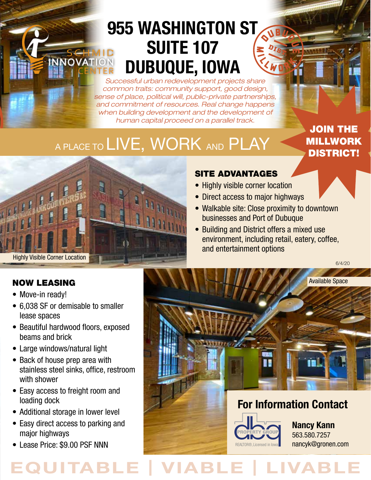# 955 WASHINGTON ST SUITE 107 DUBUQUE, IOWA

*Successful urban redevelopment projects share common traits: community support, good design, sense of place, political will, public-private partnerships, and commitment of resources. Real change happens when building development and the development of human capital proceed on a parallel track.*

# A PLACE TO LIVE, WORK AND PLAY

JOIN THE MILLWORK DISTRICT!



### SITE ADVANTAGES

- Highly visible corner location
- Direct access to major highways
- Walkable site: Close proximity to downtown businesses and Port of Dubuque
- Building and District offers a mixed use environment, including retail, eatery, coffee, and entertainment options

6/4/20

Available Space



## **For Information Contact**



**Nancy Kann** 563.580.7257 nancyk@gronen.com

### NOW LEASING

- Move-in ready!
- 6,038 SF or demisable to smaller lease spaces
- Beautiful hardwood floors, exposed beams and brick
- Large windows/natural light
- Back of house prep area with stainless steel sinks, office, restroom with shower
- Easy access to freight room and loading dock
- Additional storage in lower level
- Easy direct access to parking and major highways
- Lease Price: \$9.00 PSF NNN

# **EQUITABLE | VIABLE | LIVABLE**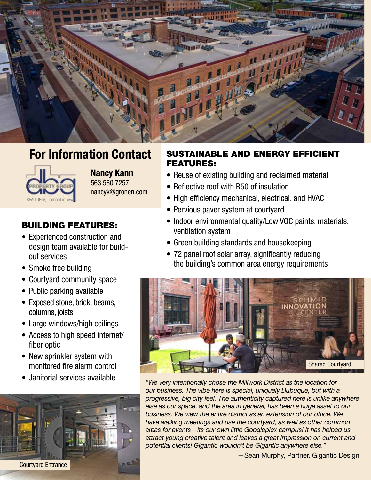

## **For Information Contact**



 563.580.7257 **Nancy Kann** nancyk@gronen.com

### BUILDING FEATURES:

- Experienced construction and design team available for buildout services
- Smoke free building
- Courtyard community space
- Public parking available
- Exposed stone, brick, beams, columns, joists
- Large windows/high ceilings
- Access to high speed internet/ fiber optic
- New sprinkler system with monitored fire alarm control
- 



### SUSTAINABLE AND ENERGY EFFICIENT FEATURES:

- Reuse of existing building and reclaimed material
- Reflective roof with R50 of insulation
- High efficiency mechanical, electrical, and HVAC
- Pervious paver system at courtyard
- Indoor environmental quality/Low VOC paints, materials, ventilation system
- Green building standards and housekeeping
- 72 panel roof solar array, significantly reducing the building's common area energy requirements



• Janitorial services available *"We very intentionally chose the Millwork District as the location for our business. The vibe here is special, uniquely Dubuque, but with a progressive, big city feel. The authenticity captured here is unlike anywhere else as our space, and the area in general, has been a huge asset to our business. We view the entire district as an extension of our office. We have walking meetings and use the courtyard, as well as other common areas for events—its our own little Googleplex campus! It has helped us attract young creative talent and leaves a great impression on current and potential clients! Gigantic wouldn't be Gigantic anywhere else."*

—Sean Murphy, Partner, Gigantic Design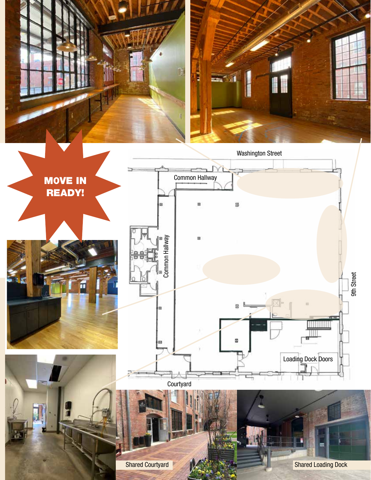